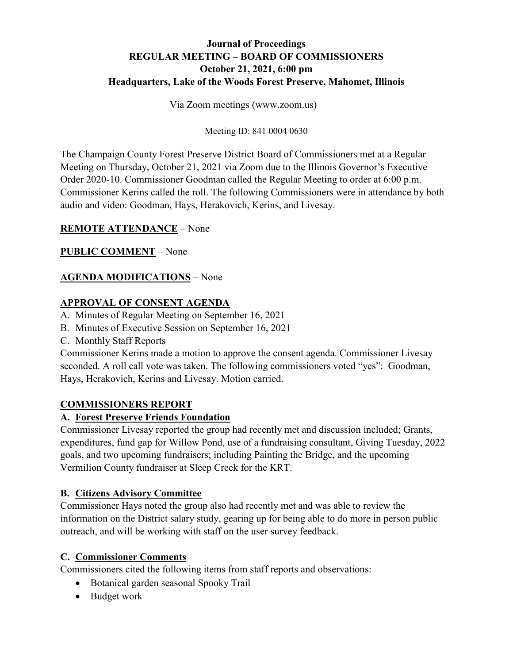# **Journal of Proceedings REGULAR MEETING – BOARD OF COMMISSIONERS October 21, 2021, 6:00 pm Headquarters, Lake of the Woods Forest Preserve, Mahomet, Illinois**

Via Zoom meetings (www.zoom.us)

#### Meeting ID: 841 0004 0630

The Champaign County Forest Preserve District Board of Commissioners met at a Regular Meeting on Thursday, October 21, 2021 via Zoom due to the Illinois Governor's Executive Order 2020-10. Commissioner Goodman called the Regular Meeting to order at 6:00 p.m. Commissioner Kerins called the roll. The following Commissioners were in attendance by both audio and video: Goodman, Hays, Herakovich, Kerins, and Livesay.

## **REMOTE ATTENDANCE** – None

## **PUBLIC COMMENT** – None

## **AGENDA MODIFICATIONS** – None

## **APPROVAL OF CONSENT AGENDA**

- A. Minutes of Regular Meeting on September 16, 2021
- B. Minutes of Executive Session on September 16, 2021
- C. Monthly Staff Reports

Commissioner Kerins made a motion to approve the consent agenda. Commissioner Livesay seconded. A roll call vote was taken. The following commissioners voted "yes": Goodman, Hays, Herakovich, Kerins and Livesay. Motion carried.

## **COMMISSIONERS REPORT**

# **A. Forest Preserve Friends Foundation**

Commissioner Livesay reported the group had recently met and discussion included; Grants, expenditures, fund gap for Willow Pond, use of a fundraising consultant, Giving Tuesday, 2022 goals, and two upcoming fundraisers; including Painting the Bridge, and the upcoming Vermilion County fundraiser at Sleep Creek for the KRT.

## **B. Citizens Advisory Committee**

Commissioner Hays noted the group also had recently met and was able to review the information on the District salary study, gearing up for being able to do more in person public outreach, and will be working with staff on the user survey feedback.

## **C. Commissioner Comments**

Commissioners cited the following items from staff reports and observations:

- Botanical garden seasonal Spooky Trail
- Budget work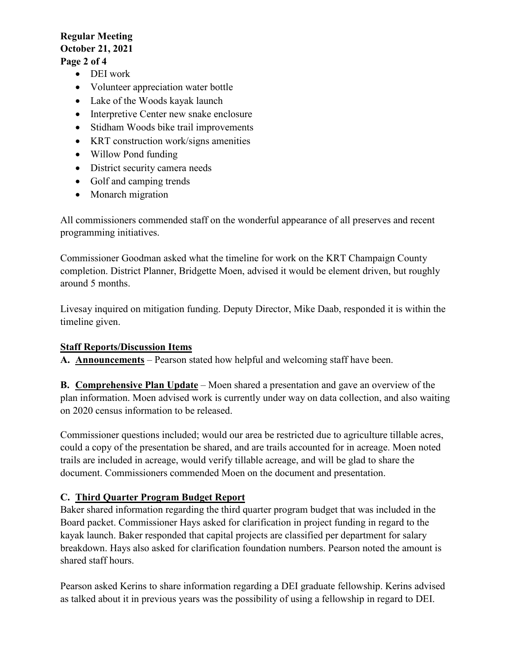## **Regular Meeting October 21, 2021 Page 2 of 4**

# • DEI work

- Volunteer appreciation water bottle
- Lake of the Woods kayak launch
- Interpretive Center new snake enclosure
- Stidham Woods bike trail improvements
- KRT construction work/signs amenities
- Willow Pond funding
- District security camera needs
- Golf and camping trends
- Monarch migration

All commissioners commended staff on the wonderful appearance of all preserves and recent programming initiatives.

Commissioner Goodman asked what the timeline for work on the KRT Champaign County completion. District Planner, Bridgette Moen, advised it would be element driven, but roughly around 5 months.

Livesay inquired on mitigation funding. Deputy Director, Mike Daab, responded it is within the timeline given.

## **Staff Reports/Discussion Items**

**A. Announcements** – Pearson stated how helpful and welcoming staff have been.

**B. Comprehensive Plan Update** – Moen shared a presentation and gave an overview of the plan information. Moen advised work is currently under way on data collection, and also waiting on 2020 census information to be released.

Commissioner questions included; would our area be restricted due to agriculture tillable acres, could a copy of the presentation be shared, and are trails accounted for in acreage. Moen noted trails are included in acreage, would verify tillable acreage, and will be glad to share the document. Commissioners commended Moen on the document and presentation.

## **C. Third Quarter Program Budget Report**

Baker shared information regarding the third quarter program budget that was included in the Board packet. Commissioner Hays asked for clarification in project funding in regard to the kayak launch. Baker responded that capital projects are classified per department for salary breakdown. Hays also asked for clarification foundation numbers. Pearson noted the amount is shared staff hours.

Pearson asked Kerins to share information regarding a DEI graduate fellowship. Kerins advised as talked about it in previous years was the possibility of using a fellowship in regard to DEI.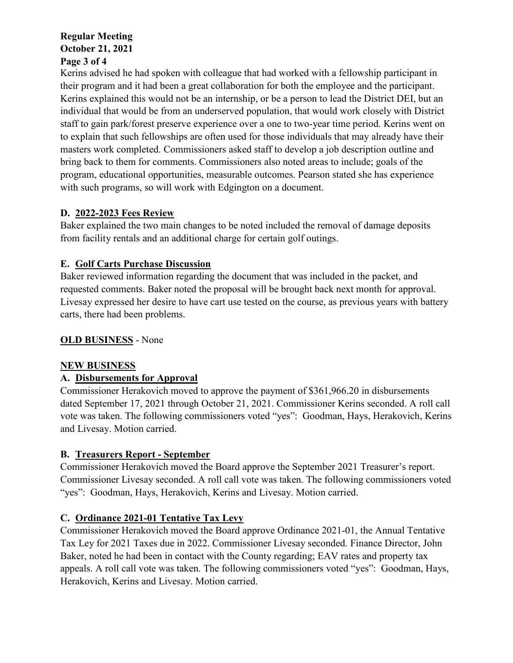## **Regular Meeting October 21, 2021 Page 3 of 4**

Kerins advised he had spoken with colleague that had worked with a fellowship participant in their program and it had been a great collaboration for both the employee and the participant. Kerins explained this would not be an internship, or be a person to lead the District DEI, but an individual that would be from an underserved population, that would work closely with District staff to gain park/forest preserve experience over a one to two-year time period. Kerins went on to explain that such fellowships are often used for those individuals that may already have their masters work completed. Commissioners asked staff to develop a job description outline and bring back to them for comments. Commissioners also noted areas to include; goals of the program, educational opportunities, measurable outcomes. Pearson stated she has experience with such programs, so will work with Edgington on a document.

## **D. 2022-2023 Fees Review**

Baker explained the two main changes to be noted included the removal of damage deposits from facility rentals and an additional charge for certain golf outings.

# **E. Golf Carts Purchase Discussion**

Baker reviewed information regarding the document that was included in the packet, and requested comments. Baker noted the proposal will be brought back next month for approval. Livesay expressed her desire to have cart use tested on the course, as previous years with battery carts, there had been problems.

# **OLD BUSINESS** - None

## **NEW BUSINESS**

# **A. Disbursements for Approval**

Commissioner Herakovich moved to approve the payment of \$361,966.20 in disbursements dated September 17, 2021 through October 21, 2021. Commissioner Kerins seconded. A roll call vote was taken. The following commissioners voted "yes": Goodman, Hays, Herakovich, Kerins and Livesay. Motion carried.

# **B. Treasurers Report - September**

Commissioner Herakovich moved the Board approve the September 2021 Treasurer's report. Commissioner Livesay seconded. A roll call vote was taken. The following commissioners voted "yes": Goodman, Hays, Herakovich, Kerins and Livesay. Motion carried.

# **C. Ordinance 2021-01 Tentative Tax Levy**

Commissioner Herakovich moved the Board approve Ordinance 2021-01, the Annual Tentative Tax Ley for 2021 Taxes due in 2022. Commissioner Livesay seconded. Finance Director, John Baker, noted he had been in contact with the County regarding; EAV rates and property tax appeals. A roll call vote was taken. The following commissioners voted "yes": Goodman, Hays, Herakovich, Kerins and Livesay. Motion carried.